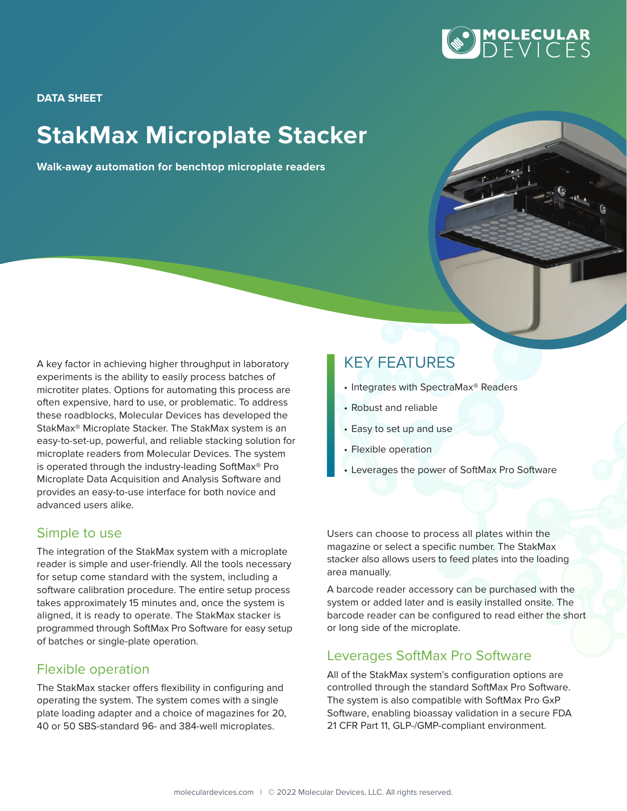

**DATA SHEET**

# **StakMax Microplate Stacker**

**Walk-away automation for benchtop microplate readers**

A key factor in achieving higher throughput in laboratory experiments is the ability to easily process batches of microtiter plates. Options for automating this process are often expensive, hard to use, or problematic. To address these roadblocks, Molecular Devices has developed the StakMax® Microplate Stacker. The StakMax system is an easy-to-set-up, powerful, and reliable stacking solution for microplate readers from Molecular Devices. The system is operated through the industry-leading SoftMax® Pro Microplate Data Acquisition and Analysis Software and provides an easy-to-use interface for both novice and advanced users alike.

#### Simple to use

The integration of the StakMax system with a microplate reader is simple and user-friendly. All the tools necessary for setup come standard with the system, including a software calibration procedure. The entire setup process takes approximately 15 minutes and, once the system is aligned, it is ready to operate. The StakMax stacker is programmed through SoftMax Pro Software for easy setup of batches or single-plate operation.

#### Flexible operation

The StakMax stacker offers flexibility in configuring and operating the system. The system comes with a single plate loading adapter and a choice of magazines for 20, 40 or 50 SBS-standard 96- and 384-well microplates.

## KEY FEATURES

- Integrates with SpectraMax® Readers
- Robust and reliable
- Easy to set up and use
- Flexible operation
- Leverages the power of SoftMax Pro Software

Users can choose to process all plates within the magazine or select a specific number. The StakMax stacker also allows users to feed plates into the loading area manually.

A barcode reader accessory can be purchased with the system or added later and is easily installed onsite. The barcode reader can be configured to read either the short or long side of the microplate.

#### Leverages SoftMax Pro Software

All of the StakMax system's configuration options are controlled through the standard SoftMax Pro Software. The system is also compatible with SoftMax Pro GxP Software, enabling bioassay validation in a secure FDA 21 CFR Part 11, GLP-/GMP-compliant environment.